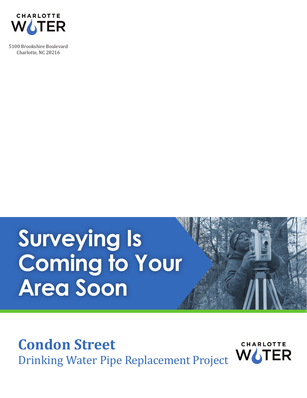

5100 Brookshire Boulevard Charlotte, NC 28216

## **Surveying Is Coming to Your Area Soon**

**Condon Street**

Drinking Water Pipe Replacement Project